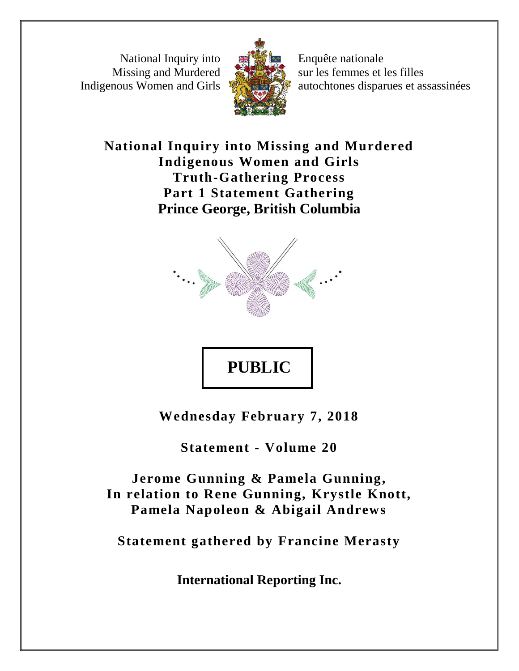National Inquiry into Missing and Murdered Indigenous Women and Girls



Enquête nationale sur les femmes et les filles autochtones disparues et assassinées

**National Inquiry into Missing and Murdered Indigenous Women and Girls Truth-Gathering Process Part 1 Statement Gathering Prince George, British Columbia**





**Wednesday February 7, 2018**

**Statement - Volume 20**

**Jerome Gunning & Pamela Gunning, In relation to Rene Gunning, Krystle Knott, Pamela Napoleon & Abigail Andrews** 

**Statement gathered by Francine Merasty**

**International Reporting Inc.**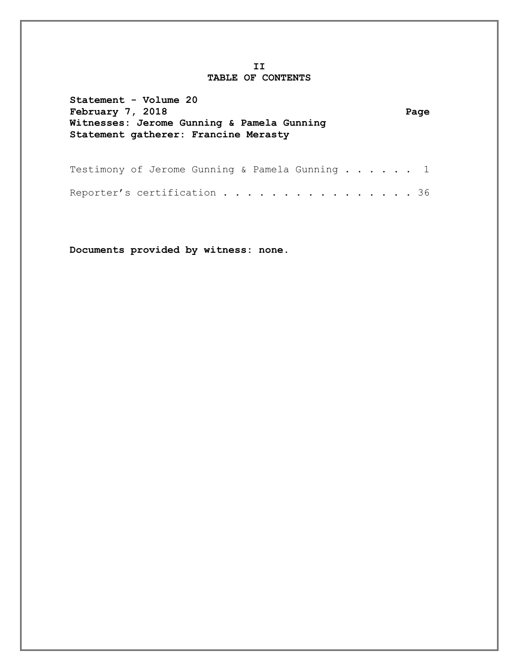## **II TABLE OF CONTENTS**

| Statement - Volume 20<br>February 7, 2018<br>Witnesses: Jerome Gunning & Pamela Gunning<br>Statement gatherer: Francine Merasty |  |  |  |  |  |  | Page |
|---------------------------------------------------------------------------------------------------------------------------------|--|--|--|--|--|--|------|
| Testimony of Jerome Gunning & Pamela Gunning 1                                                                                  |  |  |  |  |  |  |      |

Reporter's certification . . . . . . . . . . . . . . . 36

**Documents provided by witness: none.**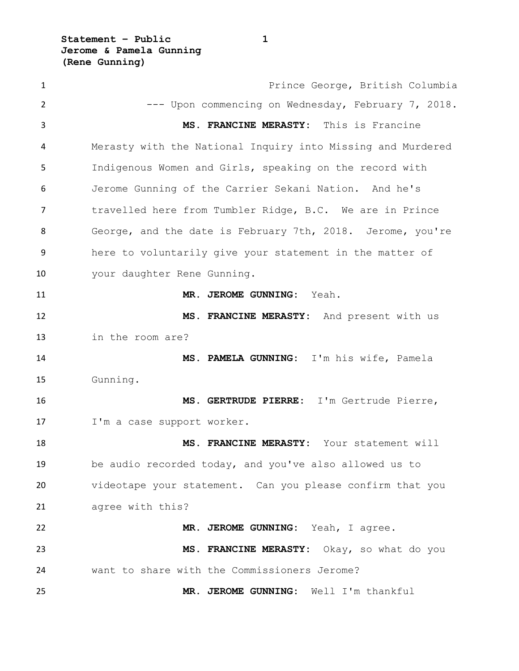**Statement – Public 1 Jerome & Pamela Gunning (Rene Gunning)**

 Prince George, British Columbia --- Upon commencing on Wednesday, February 7, 2018. **MS. FRANCINE MERASTY:** This is Francine Merasty with the National Inquiry into Missing and Murdered Indigenous Women and Girls, speaking on the record with Jerome Gunning of the Carrier Sekani Nation. And he's travelled here from Tumbler Ridge, B.C. We are in Prince George, and the date is February 7th, 2018. Jerome, you're here to voluntarily give your statement in the matter of your daughter Rene Gunning. **MR. JEROME GUNNING:** Yeah. **MS. FRANCINE MERASTY:** And present with us in the room are? **MS. PAMELA GUNNING:** I'm his wife, Pamela Gunning. **MS. GERTRUDE PIERRE:** I'm Gertrude Pierre, 17 I'm a case support worker. **MS. FRANCINE MERASTY:** Your statement will be audio recorded today, and you've also allowed us to videotape your statement. Can you please confirm that you agree with this? **MR. JEROME GUNNING:** Yeah, I agree. **MS. FRANCINE MERASTY:** Okay, so what do you want to share with the Commissioners Jerome? **MR. JEROME GUNNING:** Well I'm thankful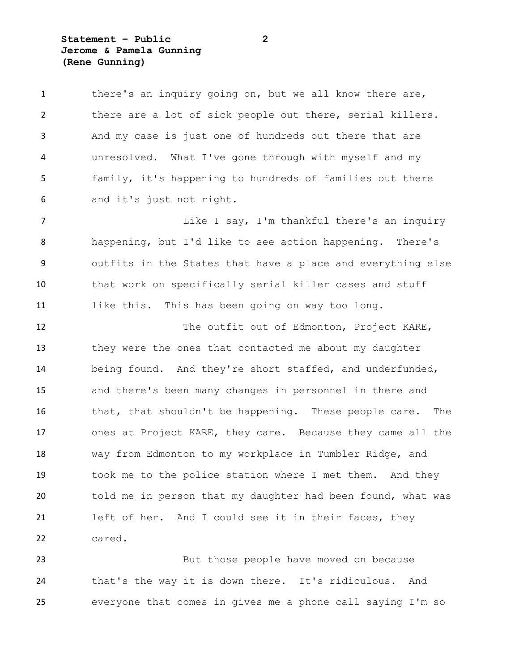**Statement – Public 2 Jerome & Pamela Gunning (Rene Gunning)**

| $\mathbf{1}$   | there's an inquiry going on, but we all know there are,     |
|----------------|-------------------------------------------------------------|
| $\overline{2}$ | there are a lot of sick people out there, serial killers.   |
| 3              | And my case is just one of hundreds out there that are      |
| 4              | unresolved. What I've gone through with myself and my       |
| 5              | family, it's happening to hundreds of families out there    |
| 6              | and it's just not right.                                    |
| 7              | Like I say, I'm thankful there's an inquiry                 |
| 8              | happening, but I'd like to see action happening. There's    |
| 9              | outfits in the States that have a place and everything else |
| 10             | that work on specifically serial killer cases and stuff     |
| 11             | like this. This has been going on way too long.             |
| 12             | The outfit out of Edmonton, Project KARE,                   |
| 13             | they were the ones that contacted me about my daughter      |
| 14             | being found. And they're short staffed, and underfunded,    |
| 15             | and there's been many changes in personnel in there and     |
| 16             | that, that shouldn't be happening. These people care. The   |
| 17             | ones at Project KARE, they care. Because they came all the  |
| 18             | way from Edmonton to my workplace in Tumbler Ridge, and     |
| 19             | took me to the police station where I met them. And they    |
| 20             | told me in person that my daughter had been found, what was |
| 21             | left of her. And I could see it in their faces, they        |
| 22             | cared.                                                      |
|                |                                                             |

 But those people have moved on because that's the way it is down there. It's ridiculous. And everyone that comes in gives me a phone call saying I'm so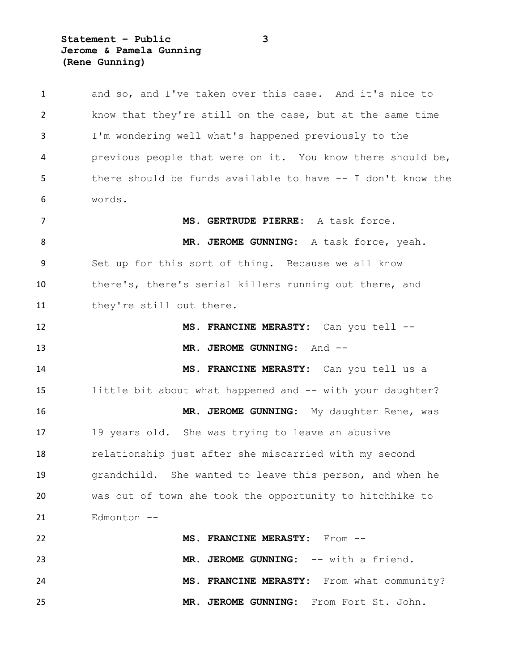## **Statement – Public 3 Jerome & Pamela Gunning (Rene Gunning)**

| $\mathbf{1}$ | and so, and I've taken over this case. And it's nice to     |
|--------------|-------------------------------------------------------------|
| 2            | know that they're still on the case, but at the same time   |
| 3            | I'm wondering well what's happened previously to the        |
| 4            | previous people that were on it. You know there should be,  |
| 5            | there should be funds available to have -- I don't know the |
| 6            | words.                                                      |
| 7            | MS. GERTRUDE PIERRE: A task force.                          |
| 8            | MR. JEROME GUNNING: A task force, yeah.                     |
| 9            | Set up for this sort of thing. Because we all know          |
| 10           | there's, there's serial killers running out there, and      |
| 11           | they're still out there.                                    |
| 12           | MS. FRANCINE MERASTY: Can you tell --                       |
| 13           | MR. JEROME GUNNING: And --                                  |
| 14           | MS. FRANCINE MERASTY: Can you tell us a                     |
| 15           | little bit about what happened and -- with your daughter?   |
| 16           | MR. JEROME GUNNING: My daughter Rene, was                   |
| 17           | 19 years old. She was trying to leave an abusive            |
| 18           | relationship just after she miscarried with my second       |
| 19           | grandchild. She wanted to leave this person, and when he    |
| 20           | was out of town she took the opportunity to hitchhike to    |
| 21           | Edmonton --                                                 |
| 22           | MS. FRANCINE MERASTY: From --                               |
| 23           | MR. JEROME GUNNING: -- with a friend.                       |
| 24           | MS. FRANCINE MERASTY: From what community?                  |
| 25           | MR. JEROME GUNNING: From Fort St. John.                     |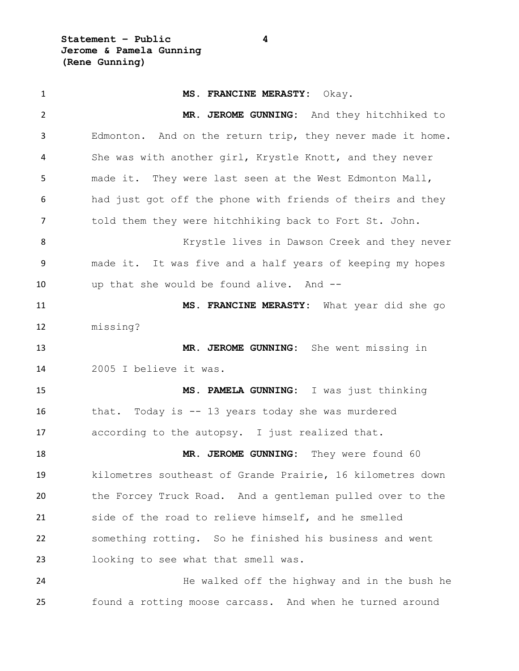**Statement – Public 4 Jerome & Pamela Gunning (Rene Gunning)**

 **MS. FRANCINE MERASTY:** Okay. **MR. JEROME GUNNING:** And they hitchhiked to Edmonton. And on the return trip, they never made it home. She was with another girl, Krystle Knott, and they never made it. They were last seen at the West Edmonton Mall, had just got off the phone with friends of theirs and they told them they were hitchhiking back to Fort St. John. 8 Krystle lives in Dawson Creek and they never made it. It was five and a half years of keeping my hopes up that she would be found alive. And -- **MS. FRANCINE MERASTY:** What year did she go missing? **MR. JEROME GUNNING:** She went missing in 2005 I believe it was. **MS. PAMELA GUNNING:** I was just thinking that. Today is -- 13 years today she was murdered according to the autopsy. I just realized that. **MR. JEROME GUNNING:** They were found 60 kilometres southeast of Grande Prairie, 16 kilometres down the Forcey Truck Road. And a gentleman pulled over to the side of the road to relieve himself, and he smelled something rotting. So he finished his business and went looking to see what that smell was. **120 He walked off the highway and in the bush he** found a rotting moose carcass. And when he turned around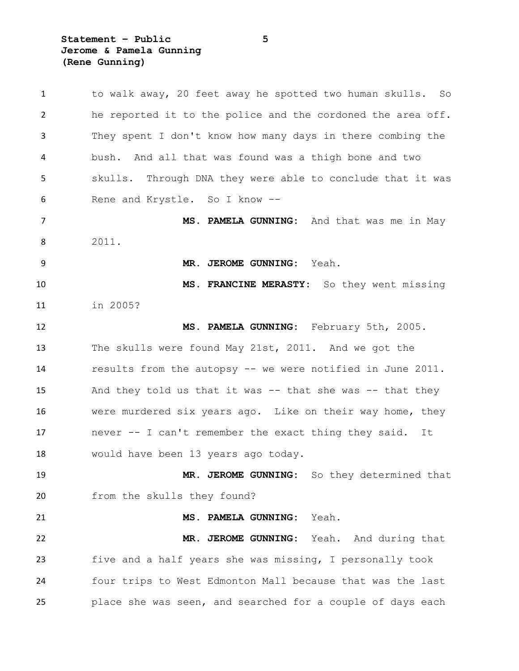**Statement – Public 5 Jerome & Pamela Gunning (Rene Gunning)**

| $\mathbf{1}$   | to walk away, 20 feet away he spotted two human skulls. So  |
|----------------|-------------------------------------------------------------|
| $\overline{2}$ | he reported it to the police and the cordoned the area off. |
| 3              | They spent I don't know how many days in there combing the  |
| 4              | bush. And all that was found was a thigh bone and two       |
| 5              | skulls. Through DNA they were able to conclude that it was  |
| 6              | Rene and Krystle. So I know --                              |
| 7              | MS. PAMELA GUNNING: And that was me in May                  |
| 8              | 2011.                                                       |
| 9              | Yeah.<br>MR. JEROME GUNNING:                                |
| 10             | MS. FRANCINE MERASTY: So they went missing                  |
| 11             | in 2005?                                                    |
| 12             | MS. PAMELA GUNNING: February 5th, 2005.                     |
| 13             | The skulls were found May 21st, 2011. And we got the        |
| 14             | results from the autopsy -- we were notified in June 2011.  |
| 15             | And they told us that it was $-$ that she was $-$ that they |
| 16             | were murdered six years ago. Like on their way home, they   |
| 17             | never -- I can't remember the exact thing they said.<br>It  |
| 18             | would have been 13 years ago today.                         |
| 19             | MR. JEROME GUNNING: So they determined that                 |
| 20             | from the skulls they found?                                 |
| 21             | MS. PAMELA GUNNING:<br>Yeah.                                |
| 22             | MR. JEROME GUNNING:<br>Yeah. And during that                |
| 23             | five and a half years she was missing, I personally took    |
| 24             | four trips to West Edmonton Mall because that was the last  |
| 25             | place she was seen, and searched for a couple of days each  |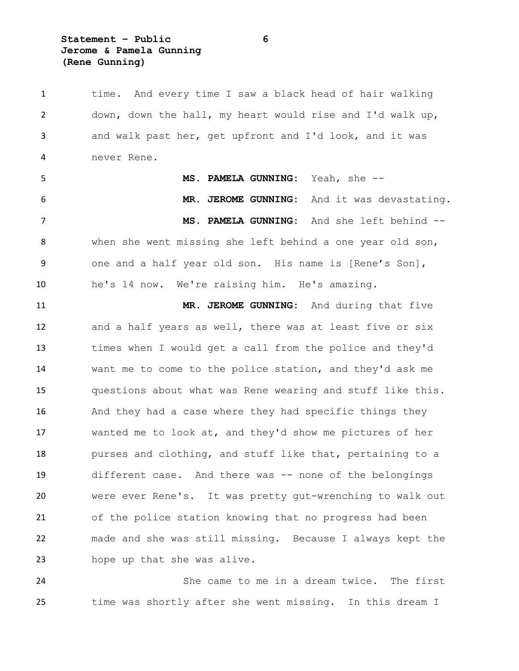**Statement – Public 6 Jerome & Pamela Gunning (Rene Gunning)**

 time. And every time I saw a black head of hair walking down, down the hall, my heart would rise and I'd walk up, and walk past her, get upfront and I'd look, and it was never Rene. **MS. PAMELA GUNNING:** Yeah, she -- **MR. JEROME GUNNING:** And it was devastating. **MS. PAMELA GUNNING:** And she left behind -- when she went missing she left behind a one year old son, one and a half year old son. His name is [Rene's Son], he's 14 now. We're raising him. He's amazing. **MR. JEROME GUNNING:** And during that five and a half years as well, there was at least five or six times when I would get a call from the police and they'd want me to come to the police station, and they'd ask me questions about what was Rene wearing and stuff like this. And they had a case where they had specific things they wanted me to look at, and they'd show me pictures of her purses and clothing, and stuff like that, pertaining to a different case. And there was -- none of the belongings were ever Rene's. It was pretty gut-wrenching to walk out of the police station knowing that no progress had been made and she was still missing. Because I always kept the hope up that she was alive.

 She came to me in a dream twice. The first time was shortly after she went missing. In this dream I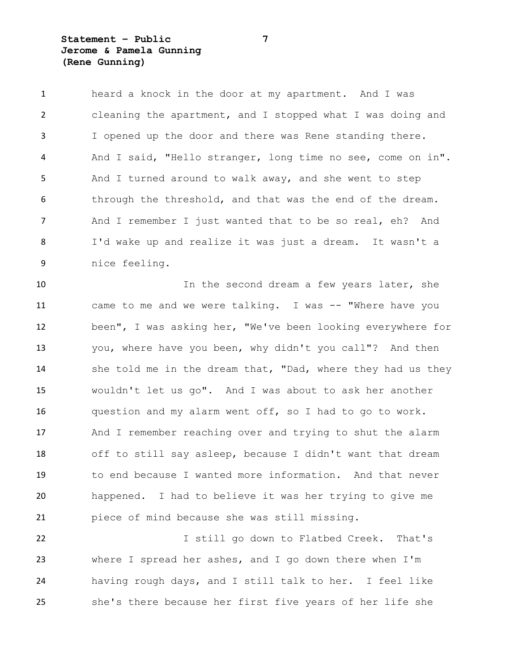## **Statement – Public 7 Jerome & Pamela Gunning (Rene Gunning)**

 heard a knock in the door at my apartment. And I was cleaning the apartment, and I stopped what I was doing and I opened up the door and there was Rene standing there. And I said, "Hello stranger, long time no see, come on in". And I turned around to walk away, and she went to step through the threshold, and that was the end of the dream. And I remember I just wanted that to be so real, eh? And I'd wake up and realize it was just a dream. It wasn't a nice feeling.

10 10 In the second dream a few years later, she came to me and we were talking. I was -- "Where have you been", I was asking her, "We've been looking everywhere for you, where have you been, why didn't you call"? And then 14 she told me in the dream that, "Dad, where they had us they wouldn't let us go". And I was about to ask her another question and my alarm went off, so I had to go to work. And I remember reaching over and trying to shut the alarm off to still say asleep, because I didn't want that dream to end because I wanted more information. And that never happened. I had to believe it was her trying to give me piece of mind because she was still missing.

 I still go down to Flatbed Creek. That's where I spread her ashes, and I go down there when I'm having rough days, and I still talk to her. I feel like she's there because her first five years of her life she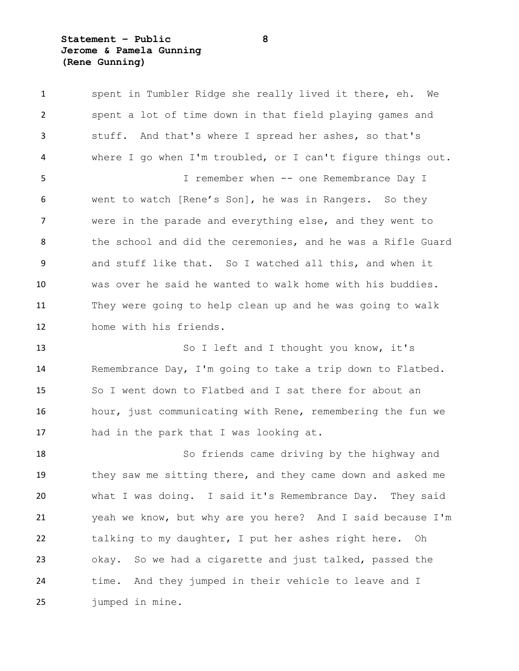## **Statement – Public 8 Jerome & Pamela Gunning (Rene Gunning)**

 spent in Tumbler Ridge she really lived it there, eh. We spent a lot of time down in that field playing games and stuff. And that's where I spread her ashes, so that's where I go when I'm troubled, or I can't figure things out. I remember when -- one Remembrance Day I went to watch [Rene's Son], he was in Rangers. So they were in the parade and everything else, and they went to 8 the school and did the ceremonies, and he was a Rifle Guard and stuff like that. So I watched all this, and when it was over he said he wanted to walk home with his buddies. They were going to help clean up and he was going to walk home with his friends. 13 So I left and I thought you know, it's Remembrance Day, I'm going to take a trip down to Flatbed. So I went down to Flatbed and I sat there for about an hour, just communicating with Rene, remembering the fun we had in the park that I was looking at. So friends came driving by the highway and they saw me sitting there, and they came down and asked me what I was doing. I said it's Remembrance Day. They said yeah we know, but why are you here? And I said because I'm

 talking to my daughter, I put her ashes right here. Oh okay. So we had a cigarette and just talked, passed the time. And they jumped in their vehicle to leave and I jumped in mine.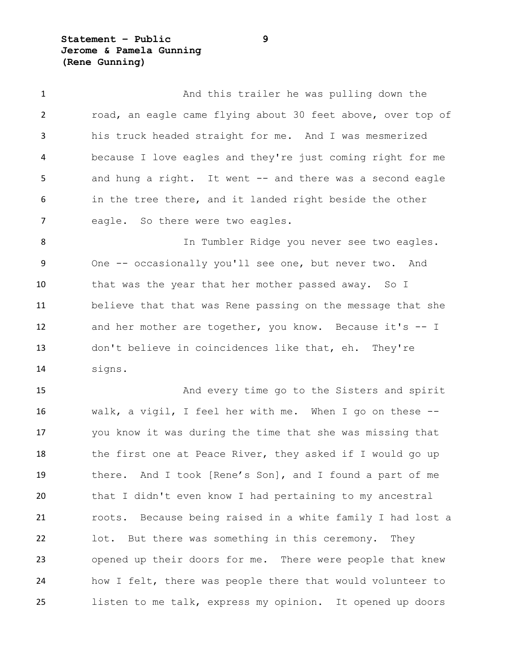**Statement – Public 9 Jerome & Pamela Gunning (Rene Gunning)**

| $\mathbf{1}$   | And this trailer he was pulling down the                    |
|----------------|-------------------------------------------------------------|
| $\overline{2}$ | road, an eagle came flying about 30 feet above, over top of |
| 3              | his truck headed straight for me. And I was mesmerized      |
| 4              | because I love eagles and they're just coming right for me  |
| 5              | and hung a right. It went -- and there was a second eagle   |
| 6              | in the tree there, and it landed right beside the other     |
| 7              | eagle. So there were two eagles.                            |
| 8              | In Tumbler Ridge you never see two eagles.                  |
| 9              | One -- occasionally you'll see one, but never two. And      |
| 10             | that was the year that her mother passed away. So I         |
| 11             | believe that that was Rene passing on the message that she  |
| 12             | and her mother are together, you know. Because it's -- I    |
| 13             | don't believe in coincidences like that, eh. They're        |
| 14             | signs.                                                      |
| 15             | And every time go to the Sisters and spirit                 |
| 16             | walk, a vigil, I feel her with me. When I go on these $-$ - |
| 17             | you know it was during the time that she was missing that   |
| 18             | the first one at Peace River, they asked if I would go up   |
| 19             | there. And I took [Rene's Son], and I found a part of me    |
| 20             | that I didn't even know I had pertaining to my ancestral    |
| 21             | roots. Because being raised in a white family I had lost a  |
| 22             | lot. But there was something in this ceremony. They         |
| 23             | opened up their doors for me. There were people that knew   |
| 24             | how I felt, there was people there that would volunteer to  |
| 25             | listen to me talk, express my opinion. It opened up doors   |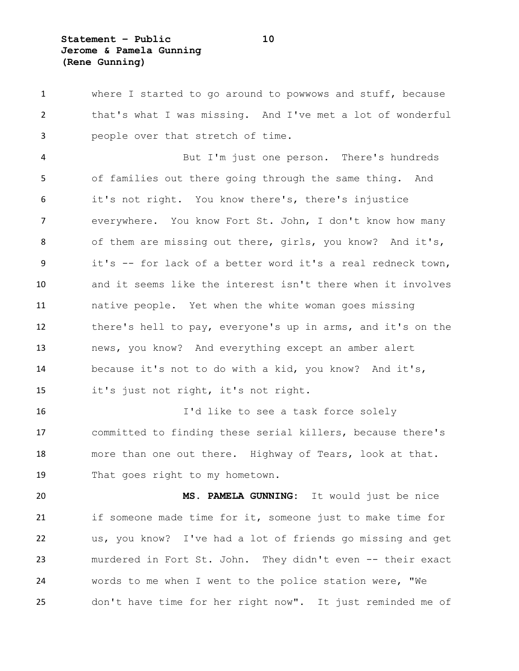**Statement – Public 10 Jerome & Pamela Gunning (Rene Gunning)**

 where I started to go around to powwows and stuff, because that's what I was missing. And I've met a lot of wonderful people over that stretch of time. But I'm just one person. There's hundreds of families out there going through the same thing. And it's not right. You know there's, there's injustice everywhere. You know Fort St. John, I don't know how many of them are missing out there, girls, you know? And it's, it's -- for lack of a better word it's a real redneck town, and it seems like the interest isn't there when it involves native people. Yet when the white woman goes missing there's hell to pay, everyone's up in arms, and it's on the news, you know? And everything except an amber alert because it's not to do with a kid, you know? And it's, it's just not right, it's not right. I'd like to see a task force solely committed to finding these serial killers, because there's more than one out there. Highway of Tears, look at that. That goes right to my hometown. **MS. PAMELA GUNNING:** It would just be nice if someone made time for it, someone just to make time for us, you know? I've had a lot of friends go missing and get murdered in Fort St. John. They didn't even -- their exact words to me when I went to the police station were, "We don't have time for her right now". It just reminded me of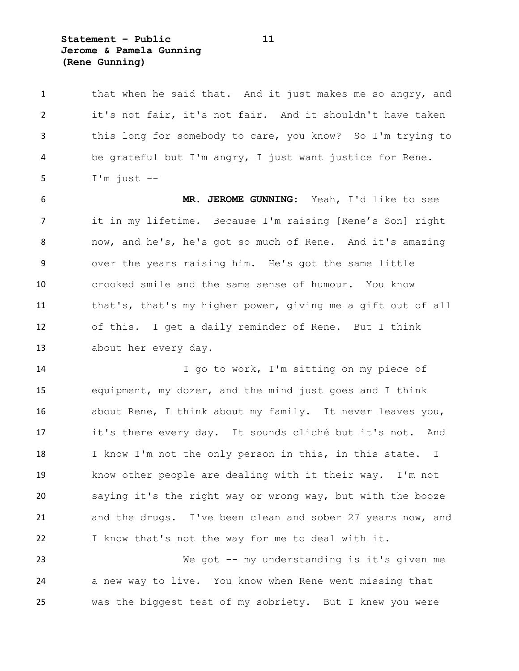**Statement – Public 11 Jerome & Pamela Gunning (Rene Gunning)**

| 1  | that when he said that. And it just makes me so angry, and   |
|----|--------------------------------------------------------------|
| 2  | it's not fair, it's not fair. And it shouldn't have taken    |
| 3  | this long for somebody to care, you know? So I'm trying to   |
| 4  | be grateful but I'm angry, I just want justice for Rene.     |
| 5  | $I'm$ just $-$                                               |
| 6  | MR. JEROME GUNNING: Yeah, I'd like to see                    |
| 7  | it in my lifetime. Because I'm raising [Rene's Son] right    |
| 8  | now, and he's, he's got so much of Rene. And it's amazing    |
| 9  | over the years raising him. He's got the same little         |
| 10 | crooked smile and the same sense of humour. You know         |
| 11 | that's, that's my higher power, giving me a gift out of all  |
| 12 | of this. I get a daily reminder of Rene. But I think         |
| 13 | about her every day.                                         |
| 14 | I go to work, I'm sitting on my piece of                     |
| 15 | equipment, my dozer, and the mind just goes and I think      |
| 16 | about Rene, I think about my family. It never leaves you,    |
| 17 | it's there every day. It sounds cliché but it's not. And     |
| 18 | I know I'm not the only person in this, in this state.<br>Ι. |
| 19 | know other people are dealing with it their way. I'm not     |
| 20 | saying it's the right way or wrong way, but with the booze   |
| 21 | and the drugs. I've been clean and sober 27 years now, and   |
|    |                                                              |

23 We got -- my understanding is it's given me a new way to live. You know when Rene went missing that was the biggest test of my sobriety. But I knew you were

I know that's not the way for me to deal with it.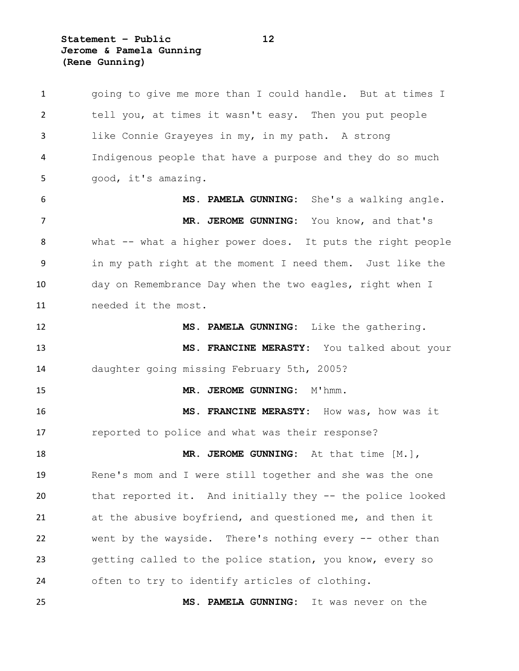**Statement – Public 12 Jerome & Pamela Gunning (Rene Gunning)**

 going to give me more than I could handle. But at times I tell you, at times it wasn't easy. Then you put people like Connie Grayeyes in my, in my path. A strong Indigenous people that have a purpose and they do so much good, it's amazing. **MS. PAMELA GUNNING:** She's a walking angle. **MR. JEROME GUNNING:** You know, and that's what -- what a higher power does. It puts the right people in my path right at the moment I need them. Just like the day on Remembrance Day when the two eagles, right when I needed it the most. **MS. PAMELA GUNNING:** Like the gathering. **MS. FRANCINE MERASTY:** You talked about your daughter going missing February 5th, 2005? 15 MR. JEROME GUNNING: M'hmm. **MS. FRANCINE MERASTY:** How was, how was it reported to police and what was their response? **MR. JEROME GUNNING:** At that time [M.], Rene's mom and I were still together and she was the one that reported it. And initially they -- the police looked at the abusive boyfriend, and questioned me, and then it went by the wayside. There's nothing every -- other than getting called to the police station, you know, every so often to try to identify articles of clothing. **MS. PAMELA GUNNING:** It was never on the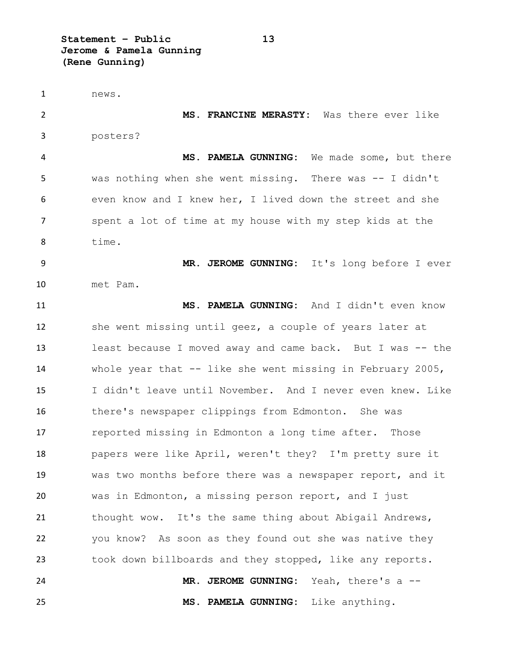**Statement – Public 13 Jerome & Pamela Gunning (Rene Gunning)**

 news. **MS. FRANCINE MERASTY:** Was there ever like posters? **MS. PAMELA GUNNING:** We made some, but there was nothing when she went missing. There was -- I didn't even know and I knew her, I lived down the street and she spent a lot of time at my house with my step kids at the time. **MR. JEROME GUNNING:** It's long before I ever met Pam. **MS. PAMELA GUNNING:** And I didn't even know she went missing until geez, a couple of years later at least because I moved away and came back. But I was -- the whole year that -- like she went missing in February 2005, I didn't leave until November. And I never even knew. Like there's newspaper clippings from Edmonton. She was reported missing in Edmonton a long time after. Those papers were like April, weren't they? I'm pretty sure it was two months before there was a newspaper report, and it was in Edmonton, a missing person report, and I just 21 thought wow. It's the same thing about Abigail Andrews, you know? As soon as they found out she was native they took down billboards and they stopped, like any reports. **MR. JEROME GUNNING:** Yeah, there's a -- **MS. PAMELA GUNNING:** Like anything.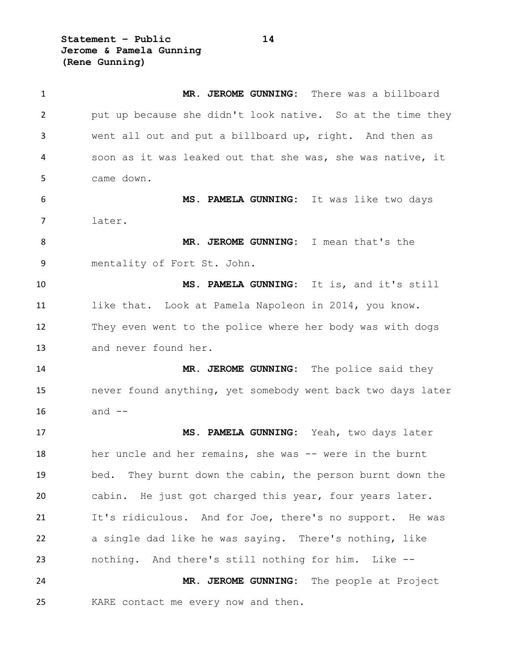**Statement – Public 14 Jerome & Pamela Gunning (Rene Gunning)**

 **MR. JEROME GUNNING:** There was a billboard put up because she didn't look native. So at the time they went all out and put a billboard up, right. And then as soon as it was leaked out that she was, she was native, it came down. **MS. PAMELA GUNNING:** It was like two days later. **MR. JEROME GUNNING:** I mean that's the mentality of Fort St. John. **MS. PAMELA GUNNING:** It is, and it's still like that. Look at Pamela Napoleon in 2014, you know. They even went to the police where her body was with dogs and never found her. **MR. JEROME GUNNING:** The police said they never found anything, yet somebody went back two days later and  $-$  **MS. PAMELA GUNNING:** Yeah, two days later 18 her uncle and her remains, she was -- were in the burnt bed. They burnt down the cabin, the person burnt down the cabin. He just got charged this year, four years later. It's ridiculous. And for Joe, there's no support. He was a single dad like he was saying. There's nothing, like nothing. And there's still nothing for him. Like -- **MR. JEROME GUNNING:** The people at Project KARE contact me every now and then.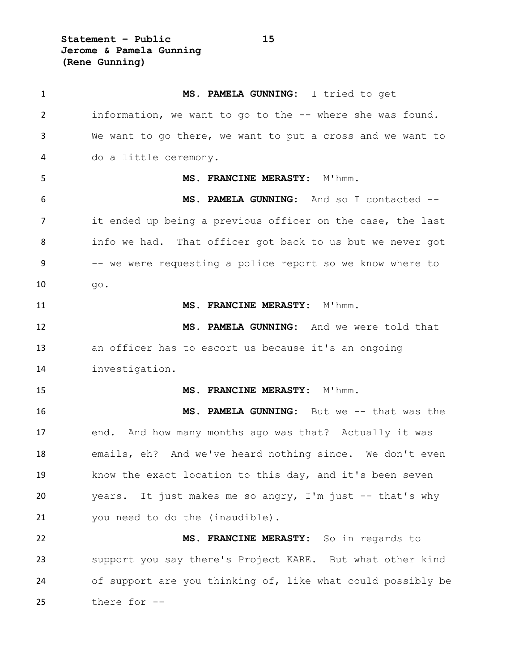**Statement – Public 15 Jerome & Pamela Gunning (Rene Gunning)**

| $\mathbf{1}$ | MS. PAMELA GUNNING: I tried to get                          |
|--------------|-------------------------------------------------------------|
| 2            | information, we want to go to the -- where she was found.   |
| 3            | We want to go there, we want to put a cross and we want to  |
| 4            | do a little ceremony.                                       |
| 5            | MS. FRANCINE MERASTY: M'hmm.                                |
| 6            | MS. PAMELA GUNNING: And so I contacted --                   |
| 7            | it ended up being a previous officer on the case, the last  |
| 8            | info we had. That officer got back to us but we never got   |
| 9            | -- we were requesting a police report so we know where to   |
| 10           | go.                                                         |
| 11           | MS. FRANCINE MERASTY: M'hmm.                                |
| 12           | MS. PAMELA GUNNING: And we were told that                   |
| 13           | an officer has to escort us because it's an ongoing         |
| 14           | investigation.                                              |
| 15           | MS. FRANCINE MERASTY: M'hmm.                                |
| 16           | MS. PAMELA GUNNING: But we -- that was the                  |
| 17           | end. And how many months ago was that? Actually it was      |
| 18           | emails, eh? And we've heard nothing since. We don't even    |
| 19           | know the exact location to this day, and it's been seven    |
| 20           | years. It just makes me so angry, I'm just -- that's why    |
| 21           | you need to do the (inaudible).                             |
| 22           | MS. FRANCINE MERASTY: So in regards to                      |
| 23           | support you say there's Project KARE. But what other kind   |
| 24           | of support are you thinking of, like what could possibly be |
| 25           | there for --                                                |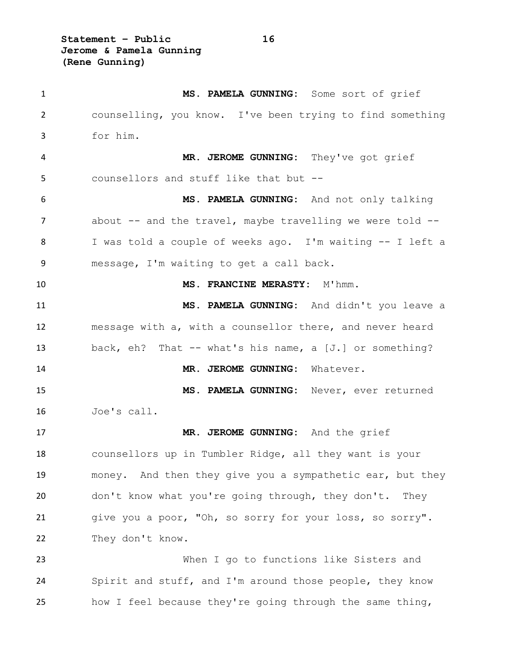**Statement – Public 16 Jerome & Pamela Gunning (Rene Gunning)**

 **MS. PAMELA GUNNING:** Some sort of grief counselling, you know. I've been trying to find something for him. **MR. JEROME GUNNING:** They've got grief counsellors and stuff like that but -- **MS. PAMELA GUNNING:** And not only talking 7 about -- and the travel, maybe travelling we were told -- I was told a couple of weeks ago. I'm waiting -- I left a message, I'm waiting to get a call back. **MS. FRANCINE MERASTY:** M'hmm. **MS. PAMELA GUNNING:** And didn't you leave a message with a, with a counsellor there, and never heard back, eh? That -- what's his name, a [J.] or something? **MR. JEROME GUNNING:** Whatever. **MS. PAMELA GUNNING:** Never, ever returned Joe's call. **MR. JEROME GUNNING:** And the grief counsellors up in Tumbler Ridge, all they want is your money. And then they give you a sympathetic ear, but they don't know what you're going through, they don't. They give you a poor, "Oh, so sorry for your loss, so sorry". 22 They don't know. When I go to functions like Sisters and Spirit and stuff, and I'm around those people, they know how I feel because they're going through the same thing,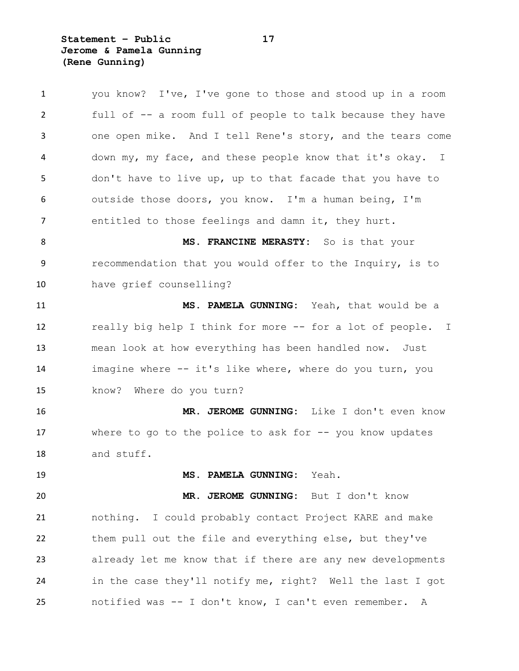**Statement – Public 17 Jerome & Pamela Gunning (Rene Gunning)**

| $\mathbf{1}$   | you know? I've, I've gone to those and stood up in a room   |
|----------------|-------------------------------------------------------------|
| $\overline{2}$ | full of -- a room full of people to talk because they have  |
| 3              | one open mike. And I tell Rene's story, and the tears come  |
| 4              | down my, my face, and these people know that it's okay. I   |
| 5              | don't have to live up, up to that facade that you have to   |
| 6              | outside those doors, you know. I'm a human being, I'm       |
| 7              | entitled to those feelings and damn it, they hurt.          |
| 8              | MS. FRANCINE MERASTY: So is that your                       |
| 9              | recommendation that you would offer to the Inquiry, is to   |
| 10             | have grief counselling?                                     |
| 11             | MS. PAMELA GUNNING: Yeah, that would be a                   |
| 12             | really big help I think for more -- for a lot of people. I  |
| 13             | mean look at how everything has been handled now. Just      |
| 14             | imagine where -- it's like where, where do you turn, you    |
| 15             | know? Where do you turn?                                    |
| 16             | MR. JEROME GUNNING: Like I don't even know                  |
| 17             | where to go to the police to ask for $-$ - you know updates |
| 18             | and stuff.                                                  |
| 19             | MS. PAMELA GUNNING: Yeah.                                   |
| 20             | MR. JEROME GUNNING: But I don't know                        |
| 21             | nothing. I could probably contact Project KARE and make     |
| 22             | them pull out the file and everything else, but they've     |
| 23             | already let me know that if there are any new developments  |
| 24             | in the case they'll notify me, right? Well the last I got   |
| 25             | notified was -- I don't know, I can't even remember. A      |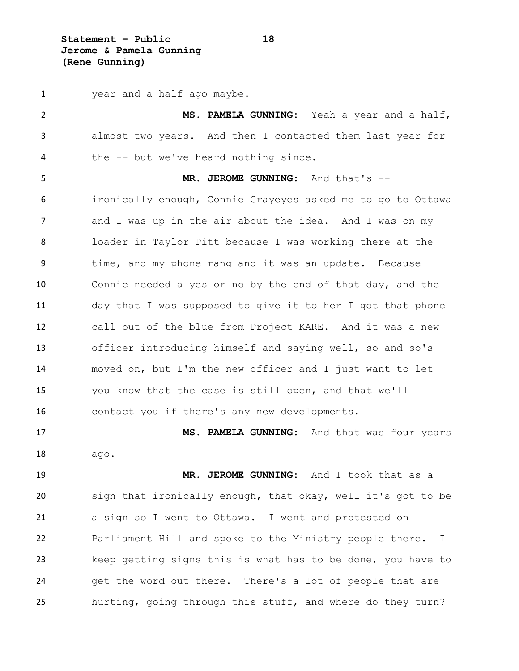**Statement – Public 18 Jerome & Pamela Gunning (Rene Gunning)**

 year and a half ago maybe. **MS. PAMELA GUNNING:** Yeah a year and a half, almost two years. And then I contacted them last year for the -- but we've heard nothing since. **MR. JEROME GUNNING:** And that's -- ironically enough, Connie Grayeyes asked me to go to Ottawa 7 and I was up in the air about the idea. And I was on my loader in Taylor Pitt because I was working there at the time, and my phone rang and it was an update. Because Connie needed a yes or no by the end of that day, and the day that I was supposed to give it to her I got that phone call out of the blue from Project KARE. And it was a new officer introducing himself and saying well, so and so's moved on, but I'm the new officer and I just want to let you know that the case is still open, and that we'll contact you if there's any new developments. **MS. PAMELA GUNNING:** And that was four years ago. **MR. JEROME GUNNING:** And I took that as a sign that ironically enough, that okay, well it's got to be a sign so I went to Ottawa. I went and protested on Parliament Hill and spoke to the Ministry people there. I keep getting signs this is what has to be done, you have to get the word out there. There's a lot of people that are

hurting, going through this stuff, and where do they turn?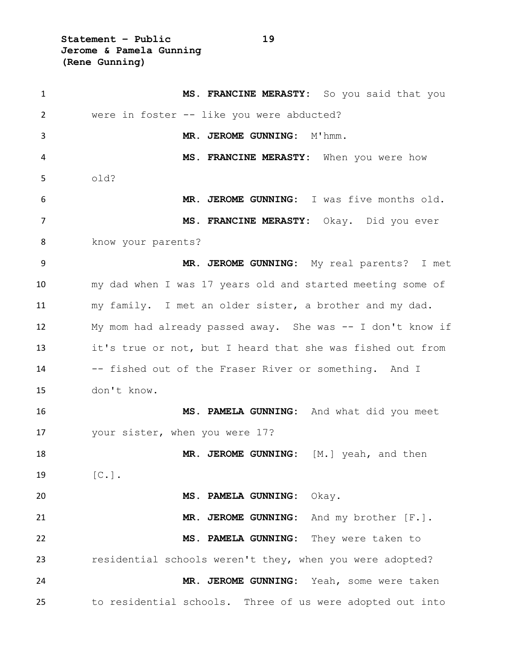**Statement – Public 19 Jerome & Pamela Gunning (Rene Gunning)**

| $\mathbf{1}$ | MS. FRANCINE MERASTY: So you said that you                 |
|--------------|------------------------------------------------------------|
| 2            | were in foster -- like you were abducted?                  |
| 3            | MR. JEROME GUNNING:<br>M'hmm.                              |
| 4            | MS. FRANCINE MERASTY: When you were how                    |
| 5            | old?                                                       |
| 6            | MR. JEROME GUNNING: I was five months old.                 |
| 7            | MS. FRANCINE MERASTY: Okay. Did you ever                   |
| 8            | know your parents?                                         |
| 9            | MR. JEROME GUNNING: My real parents? I met                 |
| 10           | my dad when I was 17 years old and started meeting some of |
| 11           | my family. I met an older sister, a brother and my dad.    |
| 12           | My mom had already passed away. She was -- I don't know if |
| 13           | it's true or not, but I heard that she was fished out from |
| 14           | -- fished out of the Fraser River or something. And I      |
| 15           | don't know.                                                |
| 16           | MS. PAMELA GUNNING: And what did you meet                  |
| 17           | your sister, when you were 17?                             |
| 18           | MR. JEROME GUNNING: [M.] yeah, and then                    |
| 19           | $[C.]$ .                                                   |
| 20           | MS. PAMELA GUNNING: Okay.                                  |
| 21           | MR. JEROME GUNNING: And my brother [F.].                   |
| 22           | MS. PAMELA GUNNING: They were taken to                     |
| 23           | residential schools weren't they, when you were adopted?   |
| 24           | MR. JEROME GUNNING: Yeah, some were taken                  |
| 25           | to residential schools. Three of us were adopted out into  |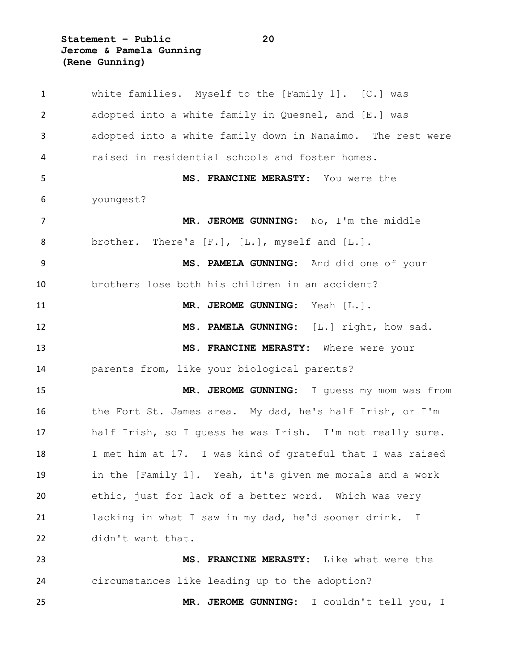**Statement – Public 20 Jerome & Pamela Gunning (Rene Gunning)**

 white families. Myself to the [Family 1]. [C.] was adopted into a white family in Quesnel, and [E.] was adopted into a white family down in Nanaimo. The rest were raised in residential schools and foster homes. **MS. FRANCINE MERASTY:** You were the youngest? **MR. JEROME GUNNING:** No, I'm the middle 8 brother. There's [F.], [L.], myself and [L.]. **MS. PAMELA GUNNING:** And did one of your brothers lose both his children in an accident? **MR. JEROME GUNNING:** Yeah [L.]. **MS. PAMELA GUNNING:** [L.] right, how sad. **MS. FRANCINE MERASTY:** Where were your parents from, like your biological parents? **MR. JEROME GUNNING:** I guess my mom was from the Fort St. James area. My dad, he's half Irish, or I'm half Irish, so I guess he was Irish. I'm not really sure. I met him at 17. I was kind of grateful that I was raised in the [Family 1]. Yeah, it's given me morals and a work ethic, just for lack of a better word. Which was very lacking in what I saw in my dad, he'd sooner drink. I didn't want that. **MS. FRANCINE MERASTY:** Like what were the circumstances like leading up to the adoption? **MR. JEROME GUNNING:** I couldn't tell you, I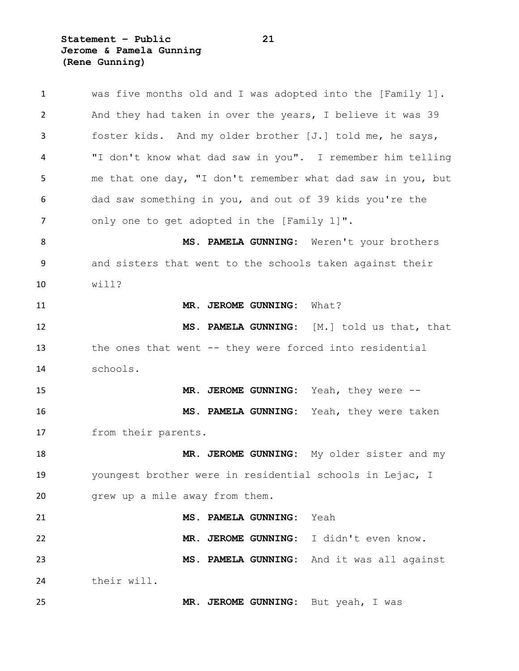**Statement – Public 21 Jerome & Pamela Gunning (Rene Gunning)**

| $\mathbf{1}$ | was five months old and I was adopted into the [Family 1].  |
|--------------|-------------------------------------------------------------|
| 2            | And they had taken in over the years, I believe it was 39   |
| 3            | foster kids. And my older brother [J.] told me, he says,    |
| 4            | "I don't know what dad saw in you". I remember him telling  |
| 5            | me that one day, "I don't remember what dad saw in you, but |
| 6            | dad saw something in you, and out of 39 kids you're the     |
| 7            | only one to get adopted in the [Family 1]".                 |
| 8            | MS. PAMELA GUNNING: Weren't your brothers                   |
| 9            | and sisters that went to the schools taken against their    |
| 10           | will?                                                       |
| 11           | MR. JEROME GUNNING:<br>What?                                |
| 12           | MS. PAMELA GUNNING: [M.] told us that, that                 |
| 13           | the ones that went -- they were forced into residential     |
| 14           | schools.                                                    |
| 15           | MR. JEROME GUNNING: Yeah, they were --                      |
| 16           | MS. PAMELA GUNNING: Yeah, they were taken                   |
| 17           | from their parents.                                         |
| 18           | MR. JEROME GUNNING: My older sister and my                  |
| 19           | youngest brother were in residential schools in Lejac, I    |
| 20           | grew up a mile away from them.                              |
| 21           | MS. PAMELA GUNNING:<br>Yeah                                 |
| 22           | MR. JEROME GUNNING:<br>I didn't even know.                  |
| 23           | MS. PAMELA GUNNING: And it was all against                  |
| 24           | their will.                                                 |
| 25           | MR. JEROME GUNNING: But yeah, I was                         |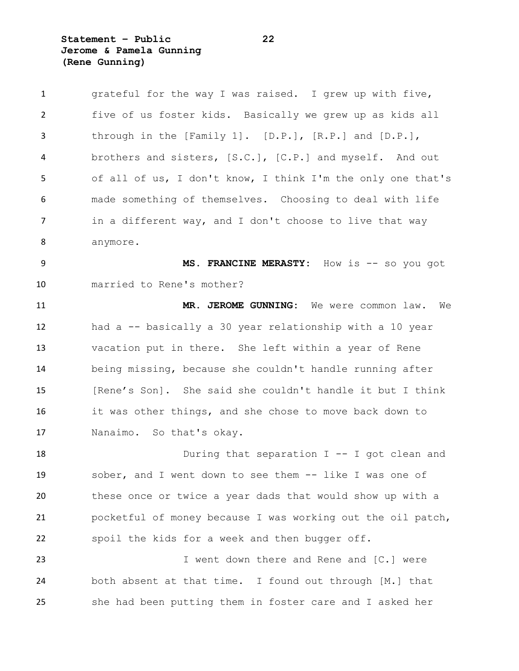**Statement – Public 22 Jerome & Pamela Gunning (Rene Gunning)**

| $\mathbf{1}$ | grateful for the way I was raised. I grew up with five,     |
|--------------|-------------------------------------------------------------|
| 2            | five of us foster kids. Basically we grew up as kids all    |
| 3            | through in the [Family 1]. [D.P.], [R.P.] and $[D.P.]$ ,    |
| 4            | brothers and sisters, [S.C.], [C.P.] and myself. And out    |
| 5            | of all of us, I don't know, I think I'm the only one that's |
| 6            | made something of themselves. Choosing to deal with life    |
| 7            | in a different way, and I don't choose to live that way     |
| 8            | anymore.                                                    |
| 9            | MS. FRANCINE MERASTY: How is -- so you got                  |
| 10           | married to Rene's mother?                                   |
| 11           | MR. JEROME GUNNING: We were common law.<br>We               |
| 12           | had a -- basically a 30 year relationship with a 10 year    |
| 13           | vacation put in there. She left within a year of Rene       |
| 14           | being missing, because she couldn't handle running after    |
| 15           | [Rene's Son]. She said she couldn't handle it but I think   |
| 16           | it was other things, and she chose to move back down to     |
| 17           | Nanaimo. So that's okay.                                    |
| 18           | During that separation $I$ -- I got clean and               |
| 19           | sober, and I went down to see them -- like I was one of     |
| 20           | these once or twice a year dads that would show up with a   |
| 21           | pocketful of money because I was working out the oil patch, |
| 22           | spoil the kids for a week and then bugger off.              |
| 23           | I went down there and Rene and [C.] were                    |
| 24           | both absent at that time. I found out through [M.] that     |
| 25           | she had been putting them in foster care and I asked her    |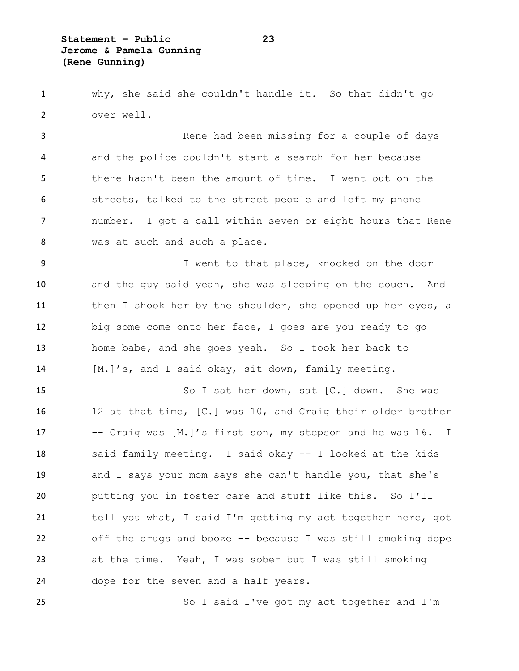why, she said she couldn't handle it. So that didn't go over well.

 Rene had been missing for a couple of days and the police couldn't start a search for her because there hadn't been the amount of time. I went out on the streets, talked to the street people and left my phone number. I got a call within seven or eight hours that Rene 8 was at such and such a place.

 I went to that place, knocked on the door and the guy said yeah, she was sleeping on the couch. And 11 then I shook her by the shoulder, she opened up her eyes, a big some come onto her face, I goes are you ready to go home babe, and she goes yeah. So I took her back to [M.]'s, and I said okay, sit down, family meeting.

15 So I sat her down, sat [C.] down. She was 12 at that time, [C.] was 10, and Craig their older brother -- Craig was [M.]'s first son, my stepson and he was 16. I said family meeting. I said okay -- I looked at the kids and I says your mom says she can't handle you, that she's putting you in foster care and stuff like this. So I'll tell you what, I said I'm getting my act together here, got off the drugs and booze -- because I was still smoking dope at the time. Yeah, I was sober but I was still smoking dope for the seven and a half years.

So I said I've got my act together and I'm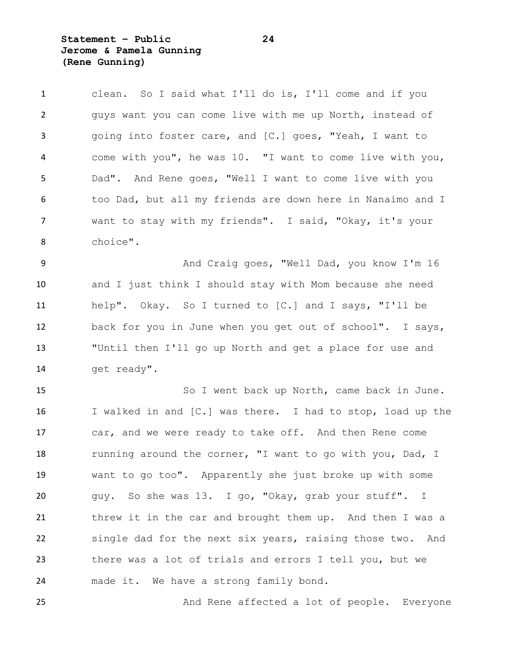**Statement – Public 24 Jerome & Pamela Gunning (Rene Gunning)**

 clean. So I said what I'll do is, I'll come and if you guys want you can come live with me up North, instead of going into foster care, and [C.] goes, "Yeah, I want to come with you", he was 10. "I want to come live with you, Dad". And Rene goes, "Well I want to come live with you too Dad, but all my friends are down here in Nanaimo and I want to stay with my friends". I said, "Okay, it's your choice".

9 And Craig goes, "Well Dad, you know I'm 16 and I just think I should stay with Mom because she need help". Okay. So I turned to [C.] and I says, "I'll be back for you in June when you get out of school". I says, "Until then I'll go up North and get a place for use and 14 get ready".

 So I went back up North, came back in June. I walked in and [C.] was there. I had to stop, load up the car, and we were ready to take off. And then Rene come 18 running around the corner, "I want to go with you, Dad, I want to go too". Apparently she just broke up with some guy. So she was 13. I go, "Okay, grab your stuff". I threw it in the car and brought them up. And then I was a single dad for the next six years, raising those two. And there was a lot of trials and errors I tell you, but we made it. We have a strong family bond.

25 And Rene affected a lot of people. Everyone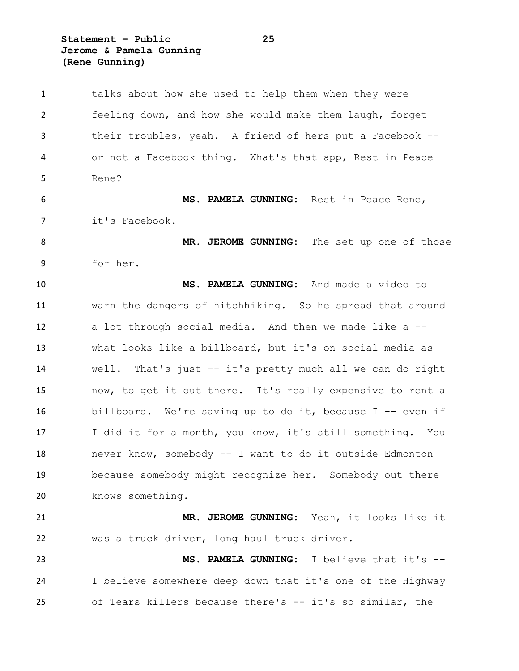**Statement – Public 25 Jerome & Pamela Gunning (Rene Gunning)**

 talks about how she used to help them when they were feeling down, and how she would make them laugh, forget their troubles, yeah. A friend of hers put a Facebook -- or not a Facebook thing. What's that app, Rest in Peace Rene? **MS. PAMELA GUNNING:** Rest in Peace Rene, it's Facebook. **MR. JEROME GUNNING:** The set up one of those for her. **MS. PAMELA GUNNING:** And made a video to warn the dangers of hitchhiking. So he spread that around a lot through social media. And then we made like a -- what looks like a billboard, but it's on social media as well. That's just -- it's pretty much all we can do right now, to get it out there. It's really expensive to rent a billboard. We're saving up to do it, because I -- even if I did it for a month, you know, it's still something. You never know, somebody -- I want to do it outside Edmonton because somebody might recognize her. Somebody out there knows something. **MR. JEROME GUNNING:** Yeah, it looks like it was a truck driver, long haul truck driver. **MS. PAMELA GUNNING:** I believe that it's -- I believe somewhere deep down that it's one of the Highway of Tears killers because there's -- it's so similar, the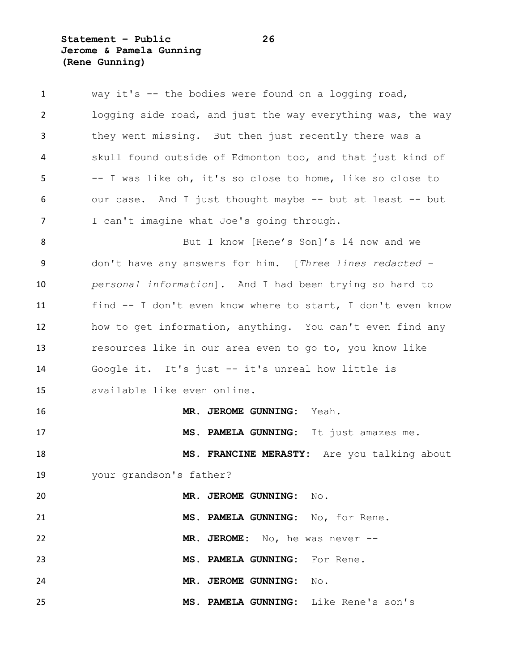**Statement – Public 26 Jerome & Pamela Gunning (Rene Gunning)**

| $\mathbf{1}$   | way it's -- the bodies were found on a logging road,        |
|----------------|-------------------------------------------------------------|
| $\overline{2}$ | logging side road, and just the way everything was, the way |
| 3              | they went missing. But then just recently there was a       |
| 4              | skull found outside of Edmonton too, and that just kind of  |
| 5              | -- I was like oh, it's so close to home, like so close to   |
| 6              | our case. And I just thought maybe -- but at least -- but   |
| $\overline{7}$ | I can't imagine what Joe's going through.                   |
| 8              | But I know [Rene's Son]'s 14 now and we                     |
| 9              | don't have any answers for him. [Three lines redacted -     |
| 10             | personal information]. And I had been trying so hard to     |
| 11             | find -- I don't even know where to start, I don't even know |
| 12             | how to get information, anything. You can't even find any   |
| 13             | resources like in our area even to go to, you know like     |
| 14             | Google it. It's just -- it's unreal how little is           |
| 15             | available like even online.                                 |
| 16             | MR. JEROME GUNNING:<br>Yeah.                                |
| 17             | MS. PAMELA GUNNING: It just amazes me.                      |
| 18             | MS. FRANCINE MERASTY: Are you talking about                 |
| 19             | your grandson's father?                                     |
| 20             | MR. JEROME GUNNING: No.                                     |
| 21             | MS. PAMELA GUNNING: No, for Rene.                           |
| 22             | MR. JEROME: No, he was never --                             |
| 23             | MS. PAMELA GUNNING: For Rene.                               |
| 24             | MR. JEROME GUNNING: No.                                     |
| 25             | MS. PAMELA GUNNING: Like Rene's son's                       |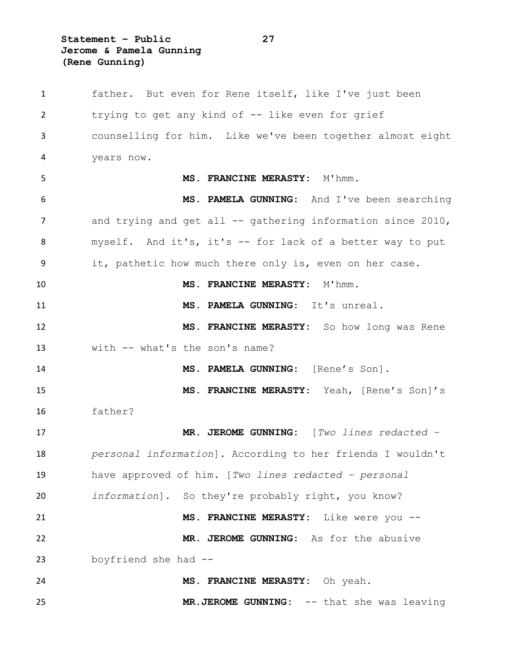**Statement – Public 27 Jerome & Pamela Gunning (Rene Gunning)**

 father. But even for Rene itself, like I've just been trying to get any kind of -- like even for grief counselling for him. Like we've been together almost eight years now. 5 MS. FRANCINE MERASTY: M'hmm. **MS. PAMELA GUNNING:** And I've been searching 7 and trying and get all -- gathering information since 2010, myself. And it's, it's -- for lack of a better way to put it, pathetic how much there only is, even on her case. **MS. FRANCINE MERASTY:** M'hmm. **MS. PAMELA GUNNING:** It's unreal. **MS. FRANCINE MERASTY:** So how long was Rene with -- what's the son's name? **MS. PAMELA GUNNING:** [Rene's Son]. **MS. FRANCINE MERASTY:** Yeah, [Rene's Son]'s father? **MR. JEROME GUNNING:** [*Two lines redacted – personal information*]. According to her friends I wouldn't have approved of him. [*Two lines redacted – personal information*]. So they're probably right, you know? **MS. FRANCINE MERASTY:** Like were you -- **MR. JEROME GUNNING:** As for the abusive boyfriend she had -- **MS. FRANCINE MERASTY:** Oh yeah. **MR.JEROME GUNNING:** -- that she was leaving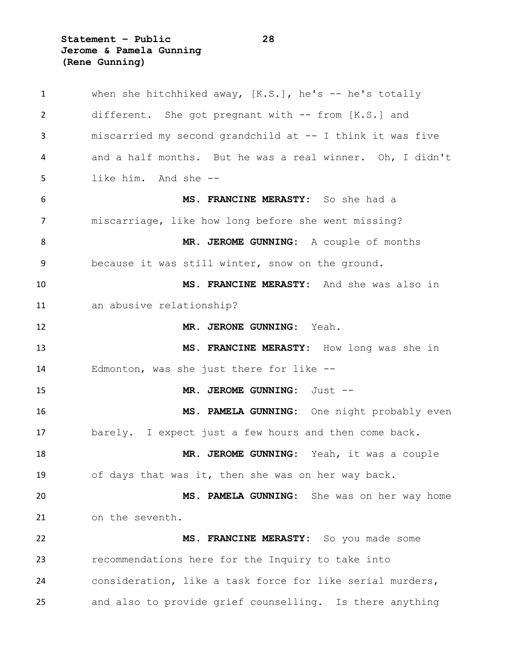**Statement – Public 28 Jerome & Pamela Gunning (Rene Gunning)**

 when she hitchhiked away, [K.S.], he's -- he's totally different. She got pregnant with -- from [K.S.] and miscarried my second grandchild at -- I think it was five and a half months. But he was a real winner. Oh, I didn't like him. And she -- **MS. FRANCINE MERASTY:** So she had a miscarriage, like how long before she went missing? **MR. JEROME GUNNING:** A couple of months because it was still winter, snow on the ground. **MS. FRANCINE MERASTY:** And she was also in an abusive relationship? **MR. JERONE GUNNING:** Yeah. **MS. FRANCINE MERASTY:** How long was she in Edmonton, was she just there for like -- **MR. JEROME GUNNING:** Just -- **MS. PAMELA GUNNING:** One night probably even barely. I expect just a few hours and then come back. **MR. JEROME GUNNING:** Yeah, it was a couple of days that was it, then she was on her way back. **MS. PAMELA GUNNING:** She was on her way home on the seventh. **MS. FRANCINE MERASTY:** So you made some recommendations here for the Inquiry to take into consideration, like a task force for like serial murders, and also to provide grief counselling. Is there anything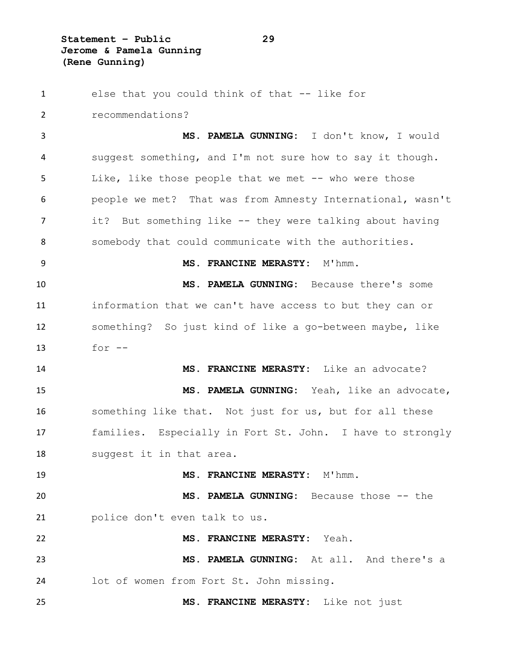**Statement – Public 29 Jerome & Pamela Gunning (Rene Gunning)**

 else that you could think of that -- like for recommendations? **MS. PAMELA GUNNING:** I don't know, I would suggest something, and I'm not sure how to say it though. Like, like those people that we met -- who were those people we met? That was from Amnesty International, wasn't 7 it? But something like -- they were talking about having somebody that could communicate with the authorities. **MS. FRANCINE MERASTY:** M'hmm. **MS. PAMELA GUNNING:** Because there's some information that we can't have access to but they can or something? So just kind of like a go-between maybe, like for  $-$  **MS. FRANCINE MERASTY:** Like an advocate? **MS. PAMELA GUNNING:** Yeah, like an advocate, something like that. Not just for us, but for all these families. Especially in Fort St. John. I have to strongly suggest it in that area. **MS. FRANCINE MERASTY:** M'hmm. **MS. PAMELA GUNNING:** Because those -- the police don't even talk to us. **MS. FRANCINE MERASTY:** Yeah. **MS. PAMELA GUNNING:** At all. And there's a lot of women from Fort St. John missing. **MS. FRANCINE MERASTY:** Like not just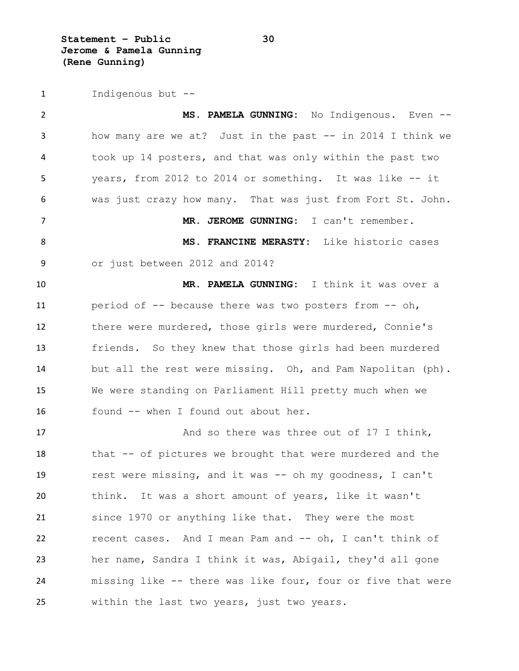**Statement – Public 30 Jerome & Pamela Gunning (Rene Gunning)**

Indigenous but --

 **MS. PAMELA GUNNING:** No Indigenous. Even -- how many are we at? Just in the past -- in 2014 I think we took up 14 posters, and that was only within the past two years, from 2012 to 2014 or something. It was like -- it was just crazy how many. That was just from Fort St. John. **MR. JEROME GUNNING:** I can't remember. **MS. FRANCINE MERASTY:** Like historic cases or just between 2012 and 2014? **MR. PAMELA GUNNING:** I think it was over a period of -- because there was two posters from -- oh, there were murdered, those girls were murdered, Connie's friends. So they knew that those girls had been murdered but all the rest were missing. Oh, and Pam Napolitan (ph). We were standing on Parliament Hill pretty much when we found -- when I found out about her. 17 And so there was three out of 17 I think, 18 that -- of pictures we brought that were murdered and the rest were missing, and it was -- oh my goodness, I can't think. It was a short amount of years, like it wasn't since 1970 or anything like that. They were the most recent cases. And I mean Pam and -- oh, I can't think of her name, Sandra I think it was, Abigail, they'd all gone missing like -- there was like four, four or five that were within the last two years, just two years.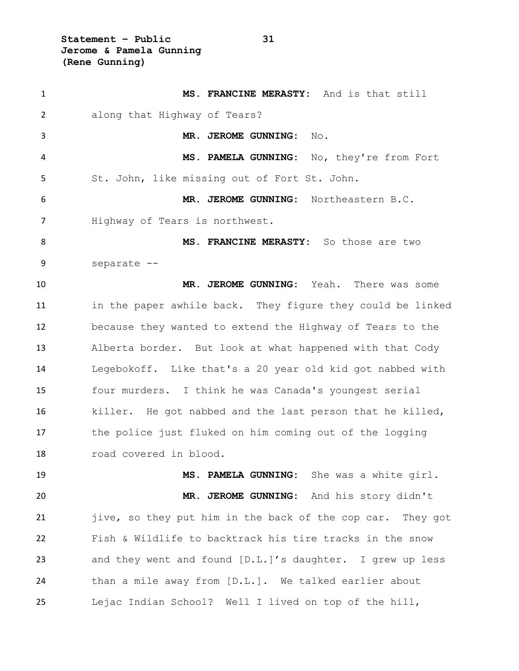**Statement – Public 31 Jerome & Pamela Gunning (Rene Gunning)**

 **MS. FRANCINE MERASTY:** And is that still along that Highway of Tears? **MR. JEROME GUNNING:** No. **MS. PAMELA GUNNING:** No, they're from Fort St. John, like missing out of Fort St. John. **MR. JEROME GUNNING:** Northeastern B.C. Highway of Tears is northwest. **MS. FRANCINE MERASTY:** So those are two separate -- **MR. JEROME GUNNING:** Yeah. There was some in the paper awhile back. They figure they could be linked because they wanted to extend the Highway of Tears to the Alberta border. But look at what happened with that Cody Legebokoff. Like that's a 20 year old kid got nabbed with four murders. I think he was Canada's youngest serial killer. He got nabbed and the last person that he killed, the police just fluked on him coming out of the logging road covered in blood. **MS. PAMELA GUNNING:** She was a white girl. **MR. JEROME GUNNING:** And his story didn't jive, so they put him in the back of the cop car. They got Fish & Wildlife to backtrack his tire tracks in the snow and they went and found [D.L.]'s daughter. I grew up less than a mile away from [D.L.]. We talked earlier about Lejac Indian School? Well I lived on top of the hill,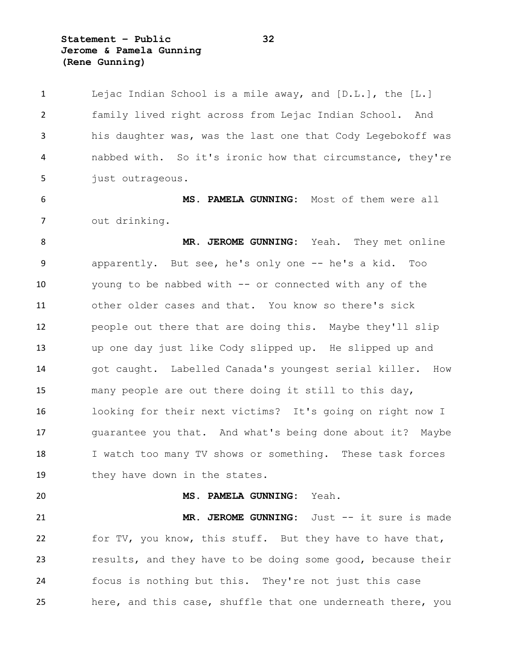**Statement – Public 32 Jerome & Pamela Gunning (Rene Gunning)**

 Lejac Indian School is a mile away, and [D.L.], the [L.] family lived right across from Lejac Indian School. And his daughter was, was the last one that Cody Legebokoff was nabbed with. So it's ironic how that circumstance, they're 5 just outrageous. **MS. PAMELA GUNNING:** Most of them were all out drinking. **MR. JEROME GUNNING:** Yeah. They met online apparently. But see, he's only one -- he's a kid. Too young to be nabbed with -- or connected with any of the other older cases and that. You know so there's sick people out there that are doing this. Maybe they'll slip up one day just like Cody slipped up. He slipped up and got caught. Labelled Canada's youngest serial killer. How many people are out there doing it still to this day, looking for their next victims? It's going on right now I guarantee you that. And what's being done about it? Maybe I watch too many TV shows or something. These task forces 19 they have down in the states. **MS. PAMELA GUNNING:** Yeah. **MR. JEROME GUNNING:** Just -- it sure is made for TV, you know, this stuff. But they have to have that, results, and they have to be doing some good, because their focus is nothing but this. They're not just this case here, and this case, shuffle that one underneath there, you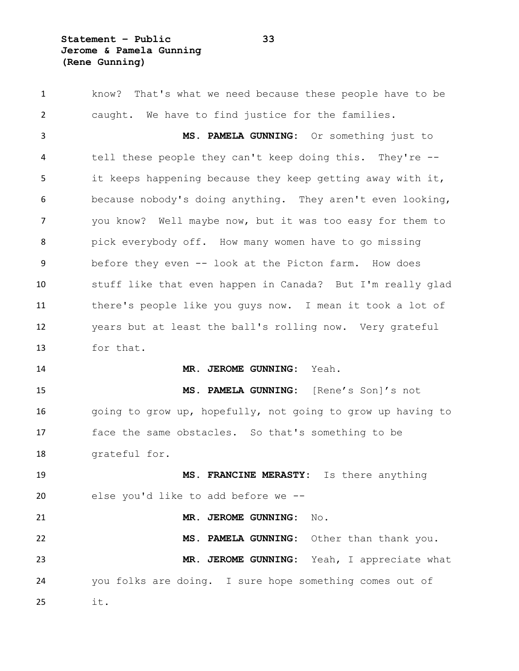**Statement – Public 33 Jerome & Pamela Gunning (Rene Gunning)**

 know? That's what we need because these people have to be caught. We have to find justice for the families. **MS. PAMELA GUNNING:** Or something just to tell these people they can't keep doing this. They're -- it keeps happening because they keep getting away with it, because nobody's doing anything. They aren't even looking, you know? Well maybe now, but it was too easy for them to pick everybody off. How many women have to go missing before they even -- look at the Picton farm. How does stuff like that even happen in Canada? But I'm really glad there's people like you guys now. I mean it took a lot of years but at least the ball's rolling now. Very grateful for that. **MR. JEROME GUNNING:** Yeah. **MS. PAMELA GUNNING:** [Rene's Son]'s not 16 going to grow up, hopefully, not going to grow up having to face the same obstacles. So that's something to be grateful for. **MS. FRANCINE MERASTY:** Is there anything else you'd like to add before we -- **MR. JEROME GUNNING:** No. **MS. PAMELA GUNNING:** Other than thank you. **MR. JEROME GUNNING:** Yeah, I appreciate what you folks are doing. I sure hope something comes out of it.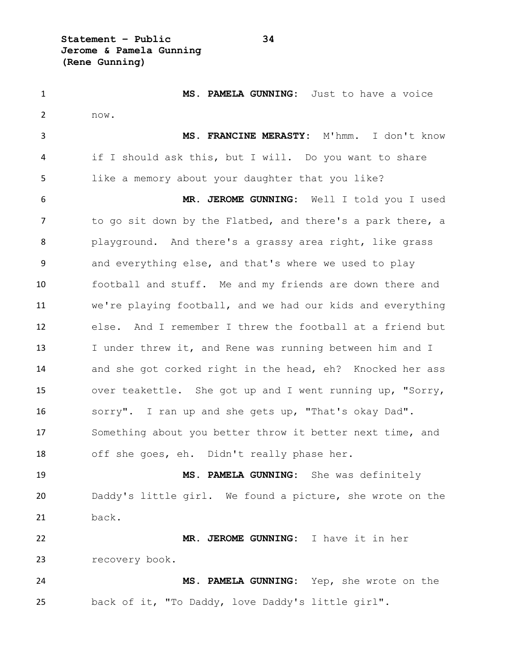**Statement – Public 34 Jerome & Pamela Gunning (Rene Gunning)**

 **MS. PAMELA GUNNING:** Just to have a voice now. **MS. FRANCINE MERASTY:** M'hmm. I don't know if I should ask this, but I will. Do you want to share like a memory about your daughter that you like? **MR. JEROME GUNNING:** Well I told you I used 7 to go sit down by the Flatbed, and there's a park there, a playground. And there's a grassy area right, like grass and everything else, and that's where we used to play football and stuff. Me and my friends are down there and we're playing football, and we had our kids and everything else. And I remember I threw the football at a friend but I under threw it, and Rene was running between him and I and she got corked right in the head, eh? Knocked her ass over teakettle. She got up and I went running up, "Sorry, sorry". I ran up and she gets up, "That's okay Dad". Something about you better throw it better next time, and off she goes, eh. Didn't really phase her. **MS. PAMELA GUNNING:** She was definitely Daddy's little girl. We found a picture, she wrote on the back. **MR. JEROME GUNNING:** I have it in her recovery book. **MS. PAMELA GUNNING:** Yep, she wrote on the back of it, "To Daddy, love Daddy's little girl".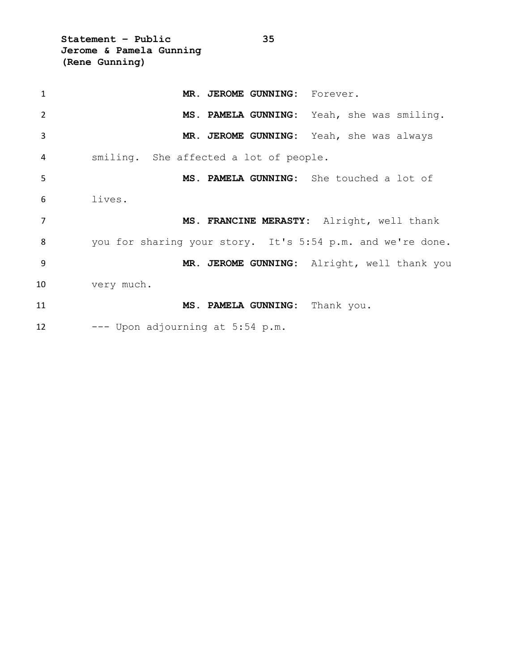**Statement – Public 35 Jerome & Pamela Gunning (Rene Gunning)**

| $\mathbf{1}$   | MR. JEROME GUNNING: Forever.                               |
|----------------|------------------------------------------------------------|
| $\overline{2}$ | MS. PAMELA GUNNING: Yeah, she was smiling.                 |
| $\overline{3}$ | MR. JEROME GUNNING: Yeah, she was always                   |
| 4              | smiling. She affected a lot of people.                     |
| 5              | MS. PAMELA GUNNING: She touched a lot of                   |
| 6              | lives.                                                     |
| $\overline{7}$ | MS. FRANCINE MERASTY: Alright, well thank                  |
| 8              | you for sharing your story. It's 5:54 p.m. and we're done. |
| -9             | MR. JEROME GUNNING: Alright, well thank you                |
| 10             | very much.                                                 |
| 11             | MS. PAMELA GUNNING: Thank you.                             |
| 12             | --- Upon adjourning at 5:54 p.m.                           |